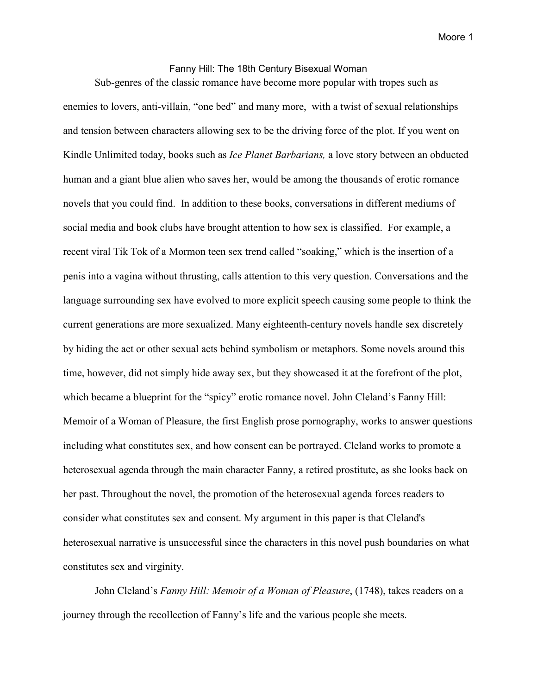## Fanny Hill: The 18th Century Bisexual Woman

Sub-genres of the classic romance have become more popular with tropes such as enemies to lovers, anti-villain, "one bed" and many more, with a twist of sexual relationships and tension between characters allowing sex to be the driving force of the plot. If you went on Kindle Unlimited today, books such as *Ice Planet Barbarians,* a love story between an obducted human and a giant blue alien who saves her, would be among the thousands of erotic romance novels that you could find. In addition to these books, conversations in different mediums of social media and book clubs have brought attention to how sex is classified. For example, a recent viral Tik Tok of a Mormon teen sex trend called "soaking," which is the insertion of a penis into a vagina without thrusting, calls attention to this very question. Conversations and the language surrounding sex have evolved to more explicit speech causing some people to think the current generations are more sexualized. Many eighteenth-century novels handle sex discretely by hiding the act or other sexual acts behind symbolism or metaphors. Some novels around this time, however, did not simply hide away sex, but they showcased it at the forefront of the plot, which became a blueprint for the "spicy" erotic romance novel. John Cleland's Fanny Hill: Memoir of a Woman of Pleasure, the first English prose pornography, works to answer questions including what constitutes sex, and how consent can be portrayed. Cleland works to promote a heterosexual agenda through the main character Fanny, a retired prostitute, as she looks back on her past. Throughout the novel, the promotion of the heterosexual agenda forces readers to consider what constitutes sex and consent. My argument in this paper is that Cleland's heterosexual narrative is unsuccessful since the characters in this novel push boundaries on what constitutes sex and virginity.

John Cleland's *Fanny Hill: Memoir of a Woman of Pleasure*, (1748), takes readers on a journey through the recollection of Fanny's life and the various people she meets.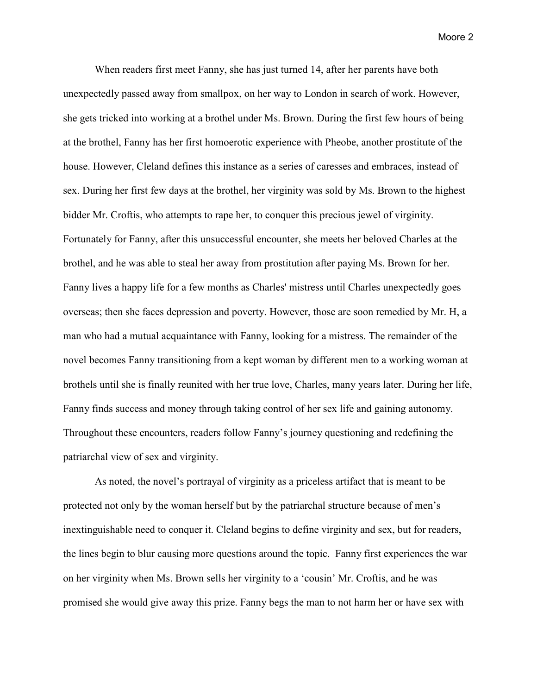When readers first meet Fanny, she has just turned 14, after her parents have both unexpectedly passed away from smallpox, on her way to London in search of work. However, she gets tricked into working at a brothel under Ms. Brown. During the first few hours of being at the brothel, Fanny has her first homoerotic experience with Pheobe, another prostitute of the house. However, Cleland defines this instance as a series of caresses and embraces, instead of sex. During her first few days at the brothel, her virginity was sold by Ms. Brown to the highest bidder Mr. Croftis, who attempts to rape her, to conquer this precious jewel of virginity. Fortunately for Fanny, after this unsuccessful encounter, she meets her beloved Charles at the brothel, and he was able to steal her away from prostitution after paying Ms. Brown for her. Fanny lives a happy life for a few months as Charles' mistress until Charles unexpectedly goes overseas; then she faces depression and poverty. However, those are soon remedied by Mr. H, a man who had a mutual acquaintance with Fanny, looking for a mistress. The remainder of the novel becomes Fanny transitioning from a kept woman by different men to a working woman at brothels until she is finally reunited with her true love, Charles, many years later. During her life, Fanny finds success and money through taking control of her sex life and gaining autonomy. Throughout these encounters, readers follow Fanny's journey questioning and redefining the patriarchal view of sex and virginity.

As noted, the novel's portrayal of virginity as a priceless artifact that is meant to be protected not only by the woman herself but by the patriarchal structure because of men's inextinguishable need to conquer it. Cleland begins to define virginity and sex, but for readers, the lines begin to blur causing more questions around the topic. Fanny first experiences the war on her virginity when Ms. Brown sells her virginity to a 'cousin' Mr. Croftis, and he was promised she would give away this prize. Fanny begs the man to not harm her or have sex with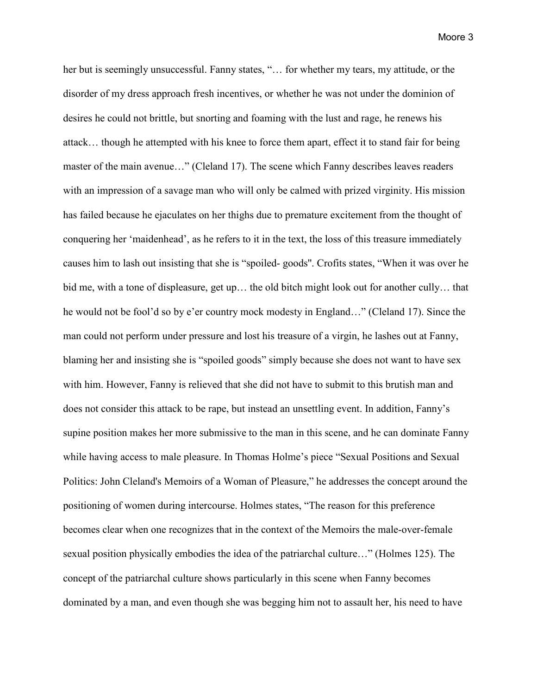her but is seemingly unsuccessful. Fanny states, "... for whether my tears, my attitude, or the disorder of my dress approach fresh incentives, or whether he was not under the dominion of desires he could not brittle, but snorting and foaming with the lust and rage, he renews his attack… though he attempted with his knee to force them apart, effect it to stand fair for being master of the main avenue…" (Cleland 17). The scene which Fanny describes leaves readers with an impression of a savage man who will only be calmed with prized virginity. His mission has failed because he ejaculates on her thighs due to premature excitement from the thought of conquering her 'maidenhead', as he refers to it in the text, the loss of this treasure immediately causes him to lash out insisting that she is "spoiled- goods''. Crofits states, "When it was over he bid me, with a tone of displeasure, get up… the old bitch might look out for another cully… that he would not be fool'd so by e'er country mock modesty in England…" (Cleland 17). Since the man could not perform under pressure and lost his treasure of a virgin, he lashes out at Fanny, blaming her and insisting she is "spoiled goods" simply because she does not want to have sex with him. However, Fanny is relieved that she did not have to submit to this brutish man and does not consider this attack to be rape, but instead an unsettling event. In addition, Fanny's supine position makes her more submissive to the man in this scene, and he can dominate Fanny while having access to male pleasure. In Thomas Holme's piece "Sexual Positions and Sexual Politics: John Cleland's Memoirs of a Woman of Pleasure," he addresses the concept around the positioning of women during intercourse. Holmes states, "The reason for this preference becomes clear when one recognizes that in the context of the Memoirs the male-over-female sexual position physically embodies the idea of the patriarchal culture…" (Holmes 125). The concept of the patriarchal culture shows particularly in this scene when Fanny becomes dominated by a man, and even though she was begging him not to assault her, his need to have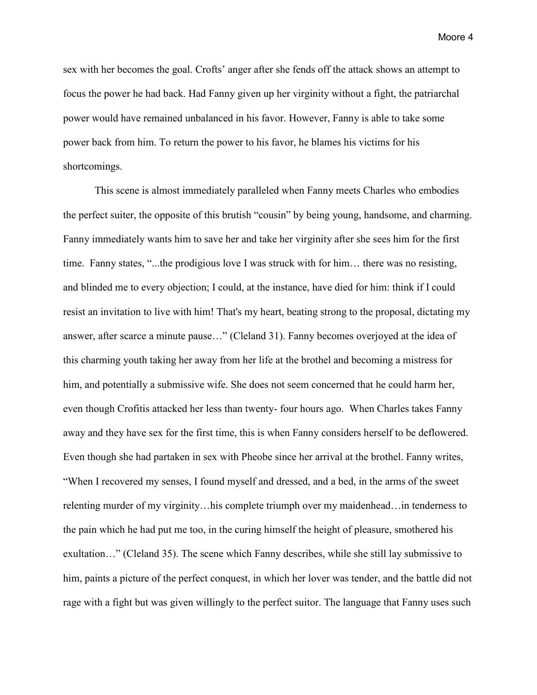sex with her becomes the goal. Crofts' anger after she fends off the attack shows an attempt to focus the power he had back. Had Fanny given up her virginity without a fight, the patriarchal power would have remained unbalanced in his favor. However, Fanny is able to take some power back from him. To return the power to his favor, he blames his victims for his shortcomings.

This scene is almost immediately paralleled when Fanny meets Charles who embodies the perfect suiter, the opposite of this brutish "cousin" by being young, handsome, and charming. Fanny immediately wants him to save her and take her virginity after she sees him for the first time. Fanny states, "...the prodigious love I was struck with for him… there was no resisting, and blinded me to every objection; I could, at the instance, have died for him: think if I could resist an invitation to live with him! That's my heart, beating strong to the proposal, dictating my answer, after scarce a minute pause…" (Cleland 31). Fanny becomes overjoyed at the idea of this charming youth taking her away from her life at the brothel and becoming a mistress for him, and potentially a submissive wife. She does not seem concerned that he could harm her, even though Crofitis attacked her less than twenty- four hours ago. When Charles takes Fanny away and they have sex for the first time, this is when Fanny considers herself to be deflowered. Even though she had partaken in sex with Pheobe since her arrival at the brothel. Fanny writes, "When I recovered my senses, I found myself and dressed, and a bed, in the arms of the sweet relenting murder of my virginity…his complete triumph over my maidenhead…in tenderness to the pain which he had put me too, in the curing himself the height of pleasure, smothered his exultation…" (Cleland 35). The scene which Fanny describes, while she still lay submissive to him, paints a picture of the perfect conquest, in which her lover was tender, and the battle did not rage with a fight but was given willingly to the perfect suitor. The language that Fanny uses such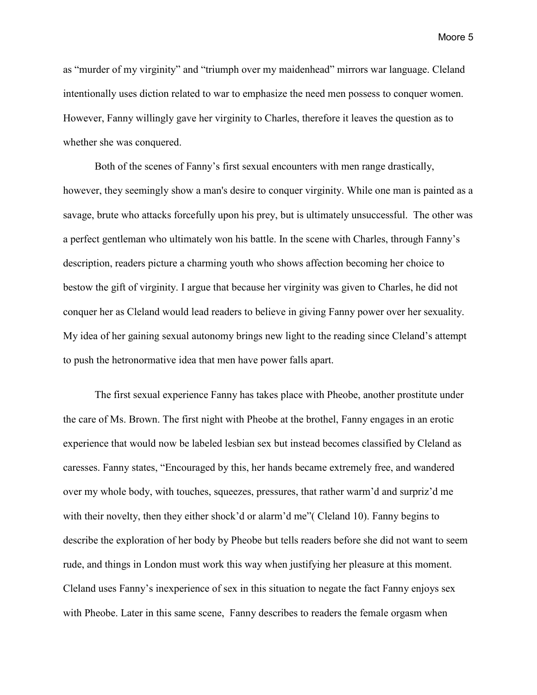as "murder of my virginity" and "triumph over my maidenhead" mirrors war language. Cleland intentionally uses diction related to war to emphasize the need men possess to conquer women. However, Fanny willingly gave her virginity to Charles, therefore it leaves the question as to whether she was conquered.

Both of the scenes of Fanny's first sexual encounters with men range drastically, however, they seemingly show a man's desire to conquer virginity. While one man is painted as a savage, brute who attacks forcefully upon his prey, but is ultimately unsuccessful. The other was a perfect gentleman who ultimately won his battle. In the scene with Charles, through Fanny's description, readers picture a charming youth who shows affection becoming her choice to bestow the gift of virginity. I argue that because her virginity was given to Charles, he did not conquer her as Cleland would lead readers to believe in giving Fanny power over her sexuality. My idea of her gaining sexual autonomy brings new light to the reading since Cleland's attempt to push the hetronormative idea that men have power falls apart.

The first sexual experience Fanny has takes place with Pheobe, another prostitute under the care of Ms. Brown. The first night with Pheobe at the brothel, Fanny engages in an erotic experience that would now be labeled lesbian sex but instead becomes classified by Cleland as caresses. Fanny states, "Encouraged by this, her hands became extremely free, and wandered over my whole body, with touches, squeezes, pressures, that rather warm'd and surpriz'd me with their novelty, then they either shock'd or alarm'd me" (Cleland 10). Fanny begins to describe the exploration of her body by Pheobe but tells readers before she did not want to seem rude, and things in London must work this way when justifying her pleasure at this moment. Cleland uses Fanny's inexperience of sex in this situation to negate the fact Fanny enjoys sex with Pheobe. Later in this same scene, Fanny describes to readers the female orgasm when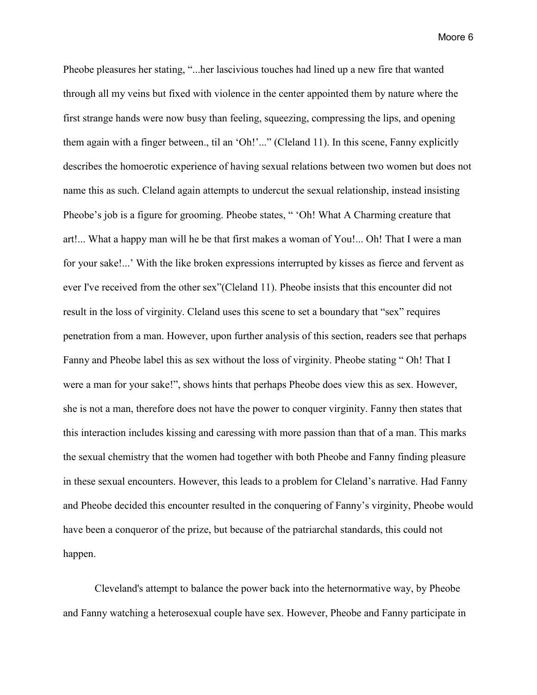Pheobe pleasures her stating, "...her lascivious touches had lined up a new fire that wanted through all my veins but fixed with violence in the center appointed them by nature where the first strange hands were now busy than feeling, squeezing, compressing the lips, and opening them again with a finger between., til an 'Oh!'..." (Cleland 11). In this scene, Fanny explicitly describes the homoerotic experience of having sexual relations between two women but does not name this as such. Cleland again attempts to undercut the sexual relationship, instead insisting Pheobe's job is a figure for grooming. Pheobe states, " 'Oh! What A Charming creature that art!... What a happy man will he be that first makes a woman of You!... Oh! That I were a man for your sake!...' With the like broken expressions interrupted by kisses as fierce and fervent as ever I've received from the other sex"(Cleland 11). Pheobe insists that this encounter did not result in the loss of virginity. Cleland uses this scene to set a boundary that "sex" requires penetration from a man. However, upon further analysis of this section, readers see that perhaps Fanny and Pheobe label this as sex without the loss of virginity. Pheobe stating " Oh! That I were a man for your sake!", shows hints that perhaps Pheobe does view this as sex. However, she is not a man, therefore does not have the power to conquer virginity. Fanny then states that this interaction includes kissing and caressing with more passion than that of a man. This marks the sexual chemistry that the women had together with both Pheobe and Fanny finding pleasure in these sexual encounters. However, this leads to a problem for Cleland's narrative. Had Fanny and Pheobe decided this encounter resulted in the conquering of Fanny's virginity, Pheobe would have been a conqueror of the prize, but because of the patriarchal standards, this could not happen.

Cleveland's attempt to balance the power back into the heternormative way, by Pheobe and Fanny watching a heterosexual couple have sex. However, Pheobe and Fanny participate in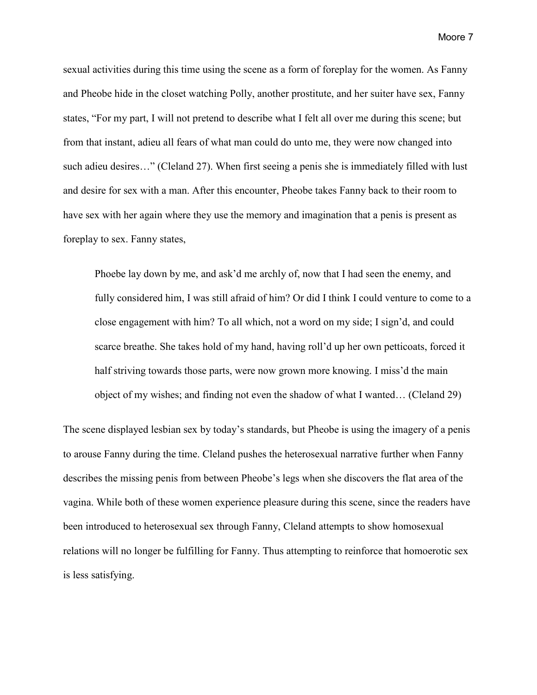sexual activities during this time using the scene as a form of foreplay for the women. As Fanny and Pheobe hide in the closet watching Polly, another prostitute, and her suiter have sex, Fanny states, "For my part, I will not pretend to describe what I felt all over me during this scene; but from that instant, adieu all fears of what man could do unto me, they were now changed into such adieu desires…" (Cleland 27). When first seeing a penis she is immediately filled with lust and desire for sex with a man. After this encounter, Pheobe takes Fanny back to their room to have sex with her again where they use the memory and imagination that a penis is present as foreplay to sex. Fanny states,

Phoebe lay down by me, and ask'd me archly of, now that I had seen the enemy, and fully considered him, I was still afraid of him? Or did I think I could venture to come to a close engagement with him? To all which, not a word on my side; I sign'd, and could scarce breathe. She takes hold of my hand, having roll'd up her own petticoats, forced it half striving towards those parts, were now grown more knowing. I miss'd the main object of my wishes; and finding not even the shadow of what I wanted… (Cleland 29)

The scene displayed lesbian sex by today's standards, but Pheobe is using the imagery of a penis to arouse Fanny during the time. Cleland pushes the heterosexual narrative further when Fanny describes the missing penis from between Pheobe's legs when she discovers the flat area of the vagina. While both of these women experience pleasure during this scene, since the readers have been introduced to heterosexual sex through Fanny, Cleland attempts to show homosexual relations will no longer be fulfilling for Fanny. Thus attempting to reinforce that homoerotic sex is less satisfying.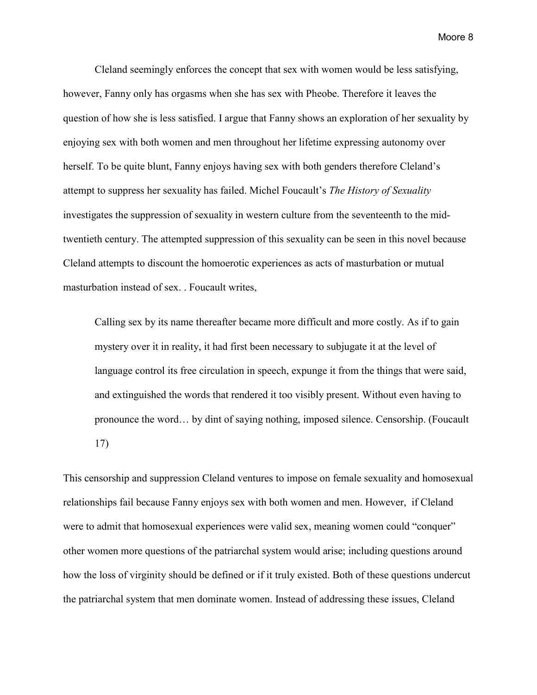Cleland seemingly enforces the concept that sex with women would be less satisfying, however, Fanny only has orgasms when she has sex with Pheobe. Therefore it leaves the question of how she is less satisfied. I argue that Fanny shows an exploration of her sexuality by enjoying sex with both women and men throughout her lifetime expressing autonomy over herself. To be quite blunt, Fanny enjoys having sex with both genders therefore Cleland's attempt to suppress her sexuality has failed. Michel Foucault's *The History of Sexuality*  investigates the suppression of sexuality in western culture from the seventeenth to the midtwentieth century. The attempted suppression of this sexuality can be seen in this novel because Cleland attempts to discount the homoerotic experiences as acts of masturbation or mutual masturbation instead of sex. . Foucault writes,

Calling sex by its name thereafter became more difficult and more costly. As if to gain mystery over it in reality, it had first been necessary to subjugate it at the level of language control its free circulation in speech, expunge it from the things that were said, and extinguished the words that rendered it too visibly present. Without even having to pronounce the word… by dint of saying nothing, imposed silence. Censorship. (Foucault 17)

This censorship and suppression Cleland ventures to impose on female sexuality and homosexual relationships fail because Fanny enjoys sex with both women and men. However, if Cleland were to admit that homosexual experiences were valid sex, meaning women could "conquer" other women more questions of the patriarchal system would arise; including questions around how the loss of virginity should be defined or if it truly existed. Both of these questions undercut the patriarchal system that men dominate women. Instead of addressing these issues, Cleland